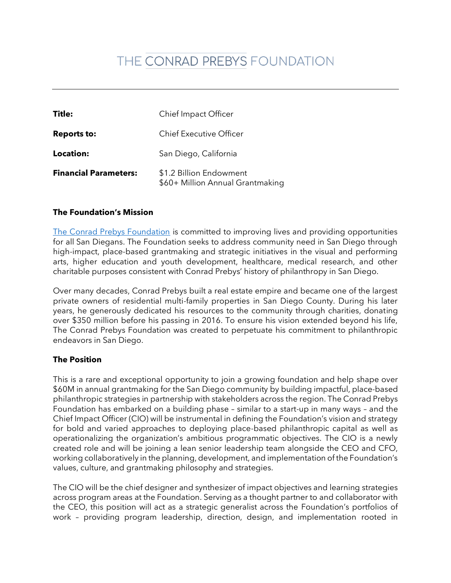# THE CONRAD PREBYS FOUNDATION

| Title:                       | <b>Chief Impact Officer</b>                                 |
|------------------------------|-------------------------------------------------------------|
| <b>Reports to:</b>           | <b>Chief Executive Officer</b>                              |
| <b>Location:</b>             | San Diego, California                                       |
| <b>Financial Parameters:</b> | \$1.2 Billion Endowment<br>\$60+ Million Annual Grantmaking |

#### **The Foundation's Mission**

[The Conrad Prebys Foundation](https://www.conradprebysfoundation.org/) is committed to improving lives and providing opportunities for all San Diegans. The Foundation seeks to address community need in San Diego through high-impact, place-based grantmaking and strategic initiatives in the visual and performing arts, higher education and youth development, healthcare, medical research, and other charitable purposes consistent with Conrad Prebys' history of philanthropy in San Diego.

Over many decades, Conrad Prebys built a real estate empire and became one of the largest private owners of residential multi-family properties in San Diego County. During his later years, he generously dedicated his resources to the community through charities, donating over \$350 million before his passing in 2016. To ensure his vision extended beyond his life, The Conrad Prebys Foundation was created to perpetuate his commitment to philanthropic endeavors in San Diego.

#### **The Position**

This is a rare and exceptional opportunity to join a growing foundation and help shape over \$60M in annual grantmaking for the San Diego community by building impactful, place-based philanthropic strategies in partnership with stakeholders across the region. The Conrad Prebys Foundation has embarked on a building phase – similar to a start-up in many ways – and the Chief Impact Officer (CIO) will be instrumental in defining the Foundation's vision and strategy for bold and varied approaches to deploying place-based philanthropic capital as well as operationalizing the organization's ambitious programmatic objectives. The CIO is a newly created role and will be joining a lean senior leadership team alongside the CEO and CFO, working collaboratively in the planning, development, and implementation of the Foundation's values, culture, and grantmaking philosophy and strategies.

The CIO will be the chief designer and synthesizer of impact objectives and learning strategies across program areas at the Foundation. Serving as a thought partner to and collaborator with the CEO, this position will act as a strategic generalist across the Foundation's portfolios of work – providing program leadership, direction, design, and implementation rooted in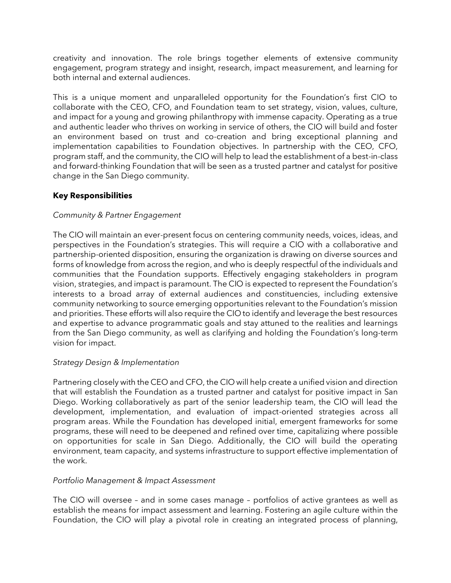creativity and innovation. The role brings together elements of extensive community engagement, program strategy and insight, research, impact measurement, and learning for both internal and external audiences.

This is a unique moment and unparalleled opportunity for the Foundation's first CIO to collaborate with the CEO, CFO, and Foundation team to set strategy, vision, values, culture, and impact for a young and growing philanthropy with immense capacity. Operating as a true and authentic leader who thrives on working in service of others, the CIO will build and foster an environment based on trust and co-creation and bring exceptional planning and implementation capabilities to Foundation objectives. In partnership with the CEO, CFO, program staff, and the community, the CIO will help to lead the establishment of a best-in-class and forward-thinking Foundation that will be seen as a trusted partner and catalyst for positive change in the San Diego community.

## **Key Responsibilities**

## *Community & Partner Engagement*

The CIO will maintain an ever-present focus on centering community needs, voices, ideas, and perspectives in the Foundation's strategies. This will require a CIO with a collaborative and partnership-oriented disposition, ensuring the organization is drawing on diverse sources and forms of knowledge from across the region, and who is deeply respectful of the individuals and communities that the Foundation supports. Effectively engaging stakeholders in program vision, strategies, and impact is paramount. The CIO is expected to represent the Foundation's interests to a broad array of external audiences and constituencies, including extensive community networking to source emerging opportunities relevant to the Foundation's mission and priorities. These efforts will also require the CIO to identify and leverage the best resources and expertise to advance programmatic goals and stay attuned to the realities and learnings from the San Diego community, as well as clarifying and holding the Foundation's long-term vision for impact.

#### *Strategy Design & Implementation*

Partnering closely with the CEO and CFO, the CIO will help create a unified vision and direction that will establish the Foundation as a trusted partner and catalyst for positive impact in San Diego. Working collaboratively as part of the senior leadership team, the CIO will lead the development, implementation, and evaluation of impact-oriented strategies across all program areas. While the Foundation has developed initial, emergent frameworks for some programs, these will need to be deepened and refined over time, capitalizing where possible on opportunities for scale in San Diego. Additionally, the CIO will build the operating environment, team capacity, and systems infrastructure to support effective implementation of the work.

#### *Portfolio Management & Impact Assessment*

The CIO will oversee – and in some cases manage – portfolios of active grantees as well as establish the means for impact assessment and learning. Fostering an agile culture within the Foundation, the CIO will play a pivotal role in creating an integrated process of planning,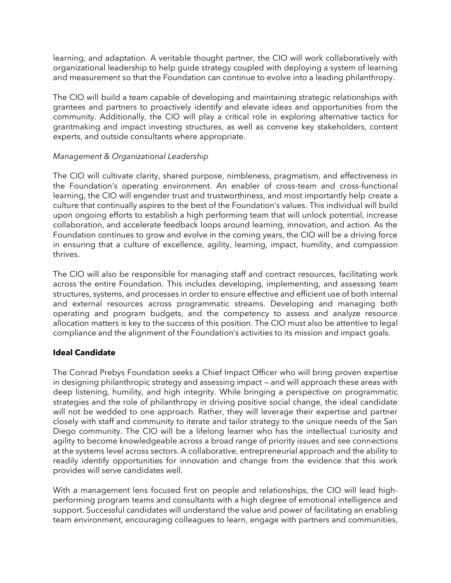learning, and adaptation. A veritable thought partner, the CIO will work collaboratively with organizational leadership to help guide strategy coupled with deploying a system of learning and measurement so that the Foundation can continue to evolve into a leading philanthropy.

The CIO will build a team capable of developing and maintaining strategic relationships with grantees and partners to proactively identify and elevate ideas and opportunities from the community. Additionally, the CIO will play a critical role in exploring alternative tactics for grantmaking and impact investing structures, as well as convene key stakeholders, content experts, and outside consultants where appropriate.

## *Management & Organizational Leadership*

The CIO will cultivate clarity, shared purpose, nimbleness, pragmatism, and effectiveness in the Foundation's operating environment. An enabler of cross-team and cross-functional learning, the CIO will engender trust and trustworthiness, and most importantly help create a culture that continually aspires to the best of the Foundation's values. This individual will build upon ongoing efforts to establish a high performing team that will unlock potential, increase collaboration, and accelerate feedback loops around learning, innovation, and action. As the Foundation continues to grow and evolve in the coming years, the CIO will be a driving force in ensuring that a culture of excellence, agility, learning, impact, humility, and compassion thrives.

The CIO will also be responsible for managing staff and contract resources, facilitating work across the entire Foundation. This includes developing, implementing, and assessing team structures, systems, and processes in order to ensure effective and efficient use of both internal and external resources across programmatic streams. Developing and managing both operating and program budgets, and the competency to assess and analyze resource allocation matters is key to the success of this position. The CIO must also be attentive to legal compliance and the alignment of the Foundation's activities to its mission and impact goals.

## **Ideal Candidate**

The Conrad Prebys Foundation seeks a Chief Impact Officer who will bring proven expertise in designing philanthropic strategy and assessing impact — and will approach these areas with deep listening, humility, and high integrity. While bringing a perspective on programmatic strategies and the role of philanthropy in driving positive social change, the ideal candidate will not be wedded to one approach. Rather, they will leverage their expertise and partner closely with staff and community to iterate and tailor strategy to the unique needs of the San Diego community. The CIO will be a lifelong learner who has the intellectual curiosity and agility to become knowledgeable across a broad range of priority issues and see connections at the systems level across sectors. A collaborative, entrepreneurial approach and the ability to readily identify opportunities for innovation and change from the evidence that this work provides will serve candidates well.

With a management lens focused first on people and relationships, the CIO will lead highperforming program teams and consultants with a high degree of emotional intelligence and support. Successful candidates will understand the value and power of facilitating an enabling team environment, encouraging colleagues to learn, engage with partners and communities,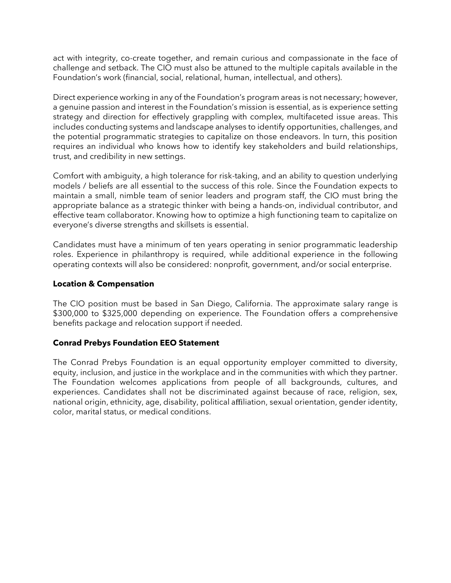act with integrity, co-create together, and remain curious and compassionate in the face of challenge and setback. The CIO must also be attuned to the multiple capitals available in the Foundation's work (financial, social, relational, human, intellectual, and others).

Direct experience working in any of the Foundation's program areas is not necessary; however, a genuine passion and interest in the Foundation's mission is essential, as is experience setting strategy and direction for effectively grappling with complex, multifaceted issue areas. This includes conducting systems and landscape analyses to identify opportunities, challenges, and the potential programmatic strategies to capitalize on those endeavors. In turn, this position requires an individual who knows how to identify key stakeholders and build relationships, trust, and credibility in new settings.

Comfort with ambiguity, a high tolerance for risk-taking, and an ability to question underlying models / beliefs are all essential to the success of this role. Since the Foundation expects to maintain a small, nimble team of senior leaders and program staff, the CIO must bring the appropriate balance as a strategic thinker with being a hands-on, individual contributor, and effective team collaborator. Knowing how to optimize a high functioning team to capitalize on everyone's diverse strengths and skillsets is essential.

Candidates must have a minimum of ten years operating in senior programmatic leadership roles. Experience in philanthropy is required, while additional experience in the following operating contexts will also be considered: nonprofit, government, and/or social enterprise.

## **Location & Compensation**

The CIO position must be based in San Diego, California. The approximate salary range is \$300,000 to \$325,000 depending on experience. The Foundation offers a comprehensive benefits package and relocation support if needed.

#### **Conrad Prebys Foundation EEO Statement**

The Conrad Prebys Foundation is an equal opportunity employer committed to diversity, equity, inclusion, and justice in the workplace and in the communities with which they partner. The Foundation welcomes applications from people of all backgrounds, cultures, and experiences. Candidates shall not be discriminated against because of race, religion, sex, national origin, ethnicity, age, disability, political affiliation, sexual orientation, gender identity, color, marital status, or medical conditions.